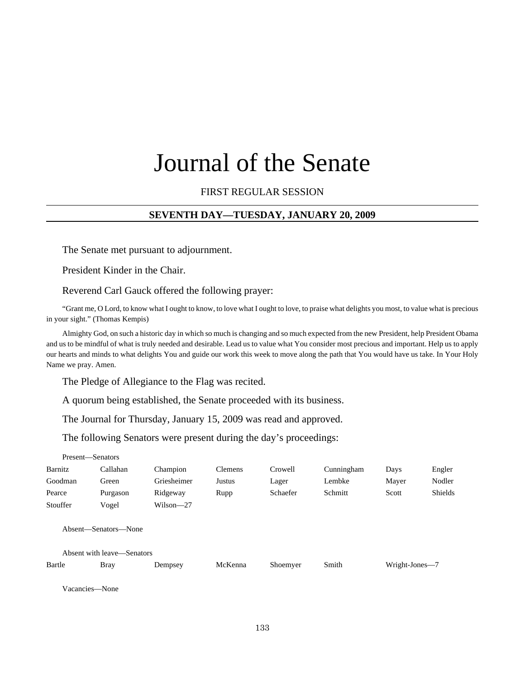# Journal of the Senate

## FIRST REGULAR SESSION

## **SEVENTH DAY—TUESDAY, JANUARY 20, 2009**

The Senate met pursuant to adjournment.

President Kinder in the Chair.

Reverend Carl Gauck offered the following prayer:

"Grant me, O Lord, to know what I ought to know, to love what I ought to love, to praise what delights you most, to value what is precious in your sight." (Thomas Kempis)

Almighty God, on such a historic day in which so much is changing and so much expected from the new President, help President Obama and us to be mindful of what is truly needed and desirable. Lead us to value what You consider most precious and important. Help us to apply our hearts and minds to what delights You and guide our work this week to move along the path that You would have us take. In Your Holy Name we pray. Amen.

The Pledge of Allegiance to the Flag was recited.

A quorum being established, the Senate proceeded with its business.

The Journal for Thursday, January 15, 2009 was read and approved.

The following Senators were present during the day's proceedings:

| Present-Senators |                            |               |                |          |            |                |         |
|------------------|----------------------------|---------------|----------------|----------|------------|----------------|---------|
| Barnitz          | Callahan                   | Champion      | <b>Clemens</b> | Crowell  | Cunningham | Days           | Engler  |
| Goodman          | Green                      | Griesheimer   | Justus         | Lager    | Lembke     | Mayer          | Nodler  |
| Pearce           | Purgason                   | Ridgeway      | Rupp           | Schaefer | Schmitt    | Scott          | Shields |
| Stouffer         | Vogel                      | $Wilson - 27$ |                |          |            |                |         |
|                  | Absent—Senators—None       |               |                |          |            |                |         |
|                  | Absent with leave—Senators |               |                |          |            |                |         |
| Bartle           | <b>Bray</b>                | Dempsey       | McKenna        | Shoemyer | Smith      | Wright-Jones-7 |         |
|                  |                            |               |                |          |            |                |         |

Vacancies—None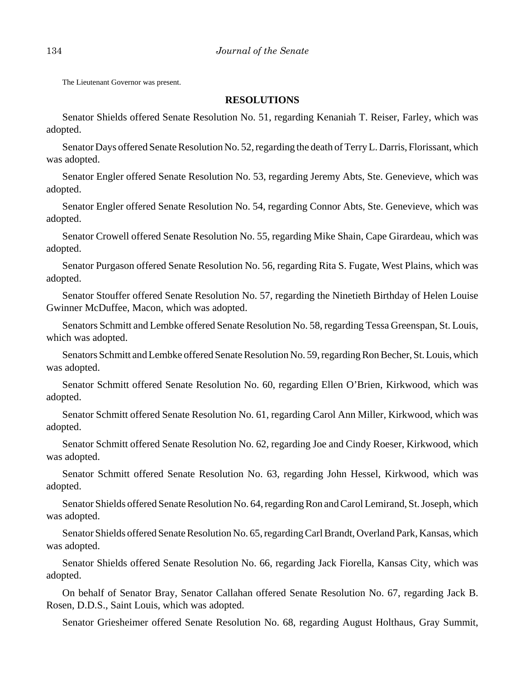The Lieutenant Governor was present.

#### **RESOLUTIONS**

Senator Shields offered Senate Resolution No. 51, regarding Kenaniah T. Reiser, Farley, which was adopted.

Senator Days offered Senate Resolution No. 52, regarding the death of Terry L. Darris, Florissant, which was adopted.

Senator Engler offered Senate Resolution No. 53, regarding Jeremy Abts, Ste. Genevieve, which was adopted.

Senator Engler offered Senate Resolution No. 54, regarding Connor Abts, Ste. Genevieve, which was adopted.

Senator Crowell offered Senate Resolution No. 55, regarding Mike Shain, Cape Girardeau, which was adopted.

Senator Purgason offered Senate Resolution No. 56, regarding Rita S. Fugate, West Plains, which was adopted.

Senator Stouffer offered Senate Resolution No. 57, regarding the Ninetieth Birthday of Helen Louise Gwinner McDuffee, Macon, which was adopted.

Senators Schmitt and Lembke offered Senate Resolution No. 58, regarding Tessa Greenspan, St. Louis, which was adopted.

Senators Schmitt and Lembke offered Senate Resolution No. 59, regarding Ron Becher, St. Louis, which was adopted.

Senator Schmitt offered Senate Resolution No. 60, regarding Ellen O'Brien, Kirkwood, which was adopted.

Senator Schmitt offered Senate Resolution No. 61, regarding Carol Ann Miller, Kirkwood, which was adopted.

Senator Schmitt offered Senate Resolution No. 62, regarding Joe and Cindy Roeser, Kirkwood, which was adopted.

Senator Schmitt offered Senate Resolution No. 63, regarding John Hessel, Kirkwood, which was adopted.

Senator Shields offered Senate Resolution No. 64, regarding Ron and Carol Lemirand, St. Joseph, which was adopted.

Senator Shields offered Senate Resolution No. 65, regarding Carl Brandt, Overland Park, Kansas, which was adopted.

Senator Shields offered Senate Resolution No. 66, regarding Jack Fiorella, Kansas City, which was adopted.

On behalf of Senator Bray, Senator Callahan offered Senate Resolution No. 67, regarding Jack B. Rosen, D.D.S., Saint Louis, which was adopted.

Senator Griesheimer offered Senate Resolution No. 68, regarding August Holthaus, Gray Summit,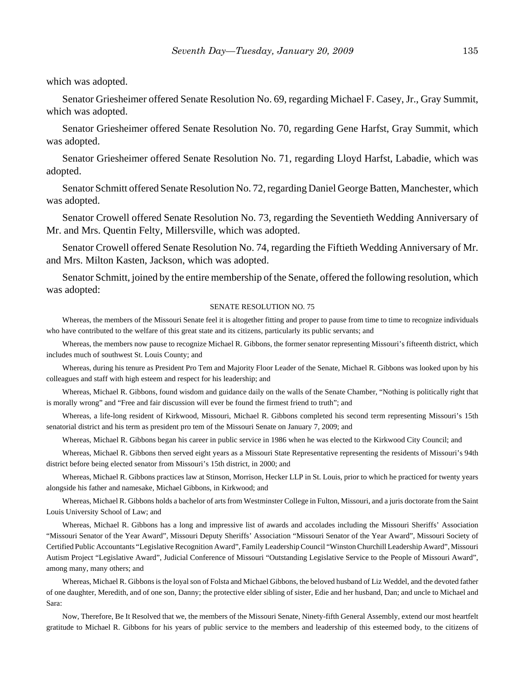which was adopted.

Senator Griesheimer offered Senate Resolution No. 69, regarding Michael F. Casey, Jr., Gray Summit, which was adopted.

Senator Griesheimer offered Senate Resolution No. 70, regarding Gene Harfst, Gray Summit, which was adopted.

Senator Griesheimer offered Senate Resolution No. 71, regarding Lloyd Harfst, Labadie, which was adopted.

Senator Schmitt offered Senate Resolution No. 72, regarding Daniel George Batten, Manchester, which was adopted.

Senator Crowell offered Senate Resolution No. 73, regarding the Seventieth Wedding Anniversary of Mr. and Mrs. Quentin Felty, Millersville, which was adopted.

Senator Crowell offered Senate Resolution No. 74, regarding the Fiftieth Wedding Anniversary of Mr. and Mrs. Milton Kasten, Jackson, which was adopted.

Senator Schmitt, joined by the entire membership of the Senate, offered the following resolution, which was adopted:

#### SENATE RESOLUTION NO. 75

Whereas, the members of the Missouri Senate feel it is altogether fitting and proper to pause from time to time to recognize individuals who have contributed to the welfare of this great state and its citizens, particularly its public servants; and

Whereas, the members now pause to recognize Michael R. Gibbons, the former senator representing Missouri's fifteenth district, which includes much of southwest St. Louis County; and

Whereas, during his tenure as President Pro Tem and Majority Floor Leader of the Senate, Michael R. Gibbons was looked upon by his colleagues and staff with high esteem and respect for his leadership; and

Whereas, Michael R. Gibbons, found wisdom and guidance daily on the walls of the Senate Chamber, "Nothing is politically right that is morally wrong" and "Free and fair discussion will ever be found the firmest friend to truth"; and

Whereas, a life-long resident of Kirkwood, Missouri, Michael R. Gibbons completed his second term representing Missouri's 15th senatorial district and his term as president pro tem of the Missouri Senate on January 7, 2009; and

Whereas, Michael R. Gibbons began his career in public service in 1986 when he was elected to the Kirkwood City Council; and

Whereas, Michael R. Gibbons then served eight years as a Missouri State Representative representing the residents of Missouri's 94th district before being elected senator from Missouri's 15th district, in 2000; and

Whereas, Michael R. Gibbons practices law at Stinson, Morrison, Hecker LLP in St. Louis, prior to which he practiced for twenty years alongside his father and namesake, Michael Gibbons, in Kirkwood; and

Whereas, Michael R. Gibbons holds a bachelor of arts from Westminster College in Fulton, Missouri, and a juris doctorate from the Saint Louis University School of Law; and

Whereas, Michael R. Gibbons has a long and impressive list of awards and accolades including the Missouri Sheriffs' Association "Missouri Senator of the Year Award", Missouri Deputy Sheriffs' Association "Missouri Senator of the Year Award", Missouri Society of Certified Public Accountants "Legislative Recognition Award", Family Leadership Council "Winston Churchill Leadership Award", Missouri Autism Project "Legislative Award", Judicial Conference of Missouri "Outstanding Legislative Service to the People of Missouri Award", among many, many others; and

Whereas, Michael R. Gibbons is the loyal son of Folsta and Michael Gibbons, the beloved husband of Liz Weddel, and the devoted father of one daughter, Meredith, and of one son, Danny; the protective elder sibling of sister, Edie and her husband, Dan; and uncle to Michael and Sara:

Now, Therefore, Be It Resolved that we, the members of the Missouri Senate, Ninety-fifth General Assembly, extend our most heartfelt gratitude to Michael R. Gibbons for his years of public service to the members and leadership of this esteemed body, to the citizens of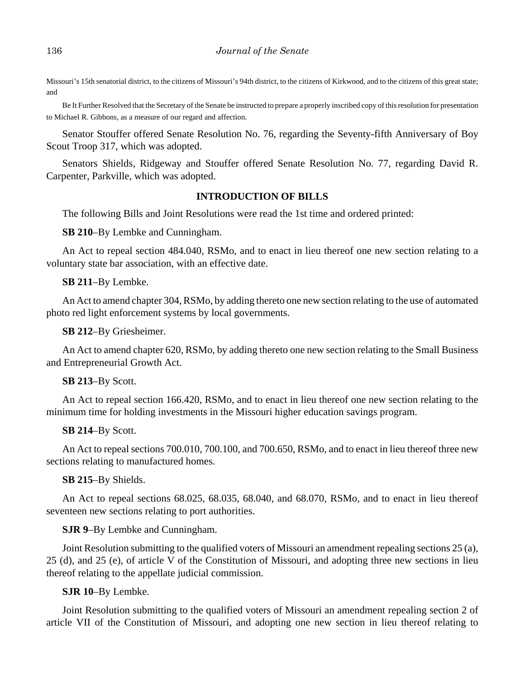Missouri's 15th senatorial district, to the citizens of Missouri's 94th district, to the citizens of Kirkwood, and to the citizens of this great state; and

Be It Further Resolved that the Secretary of the Senate be instructed to prepare a properly inscribed copy of this resolution for presentation to Michael R. Gibbons, as a measure of our regard and affection.

Senator Stouffer offered Senate Resolution No. 76, regarding the Seventy-fifth Anniversary of Boy Scout Troop 317, which was adopted.

Senators Shields, Ridgeway and Stouffer offered Senate Resolution No. 77, regarding David R. Carpenter, Parkville, which was adopted.

## **INTRODUCTION OF BILLS**

The following Bills and Joint Resolutions were read the 1st time and ordered printed:

**SB 210**–By Lembke and Cunningham.

An Act to repeal section 484.040, RSMo, and to enact in lieu thereof one new section relating to a voluntary state bar association, with an effective date.

## **SB 211**–By Lembke.

An Act to amend chapter 304, RSMo, by adding thereto one new section relating to the use of automated photo red light enforcement systems by local governments.

**SB 212**–By Griesheimer.

An Act to amend chapter 620, RSMo, by adding thereto one new section relating to the Small Business and Entrepreneurial Growth Act.

## **SB 213**–By Scott.

An Act to repeal section 166.420, RSMo, and to enact in lieu thereof one new section relating to the minimum time for holding investments in the Missouri higher education savings program.

#### **SB 214**–By Scott.

An Act to repeal sections 700.010, 700.100, and 700.650, RSMo, and to enact in lieu thereof three new sections relating to manufactured homes.

#### **SB 215**–By Shields.

An Act to repeal sections 68.025, 68.035, 68.040, and 68.070, RSMo, and to enact in lieu thereof seventeen new sections relating to port authorities.

## **SJR 9**–By Lembke and Cunningham.

Joint Resolution submitting to the qualified voters of Missouri an amendment repealing sections 25 (a), 25 (d), and 25 (e), of article V of the Constitution of Missouri, and adopting three new sections in lieu thereof relating to the appellate judicial commission.

## **SJR 10**–By Lembke.

Joint Resolution submitting to the qualified voters of Missouri an amendment repealing section 2 of article VII of the Constitution of Missouri, and adopting one new section in lieu thereof relating to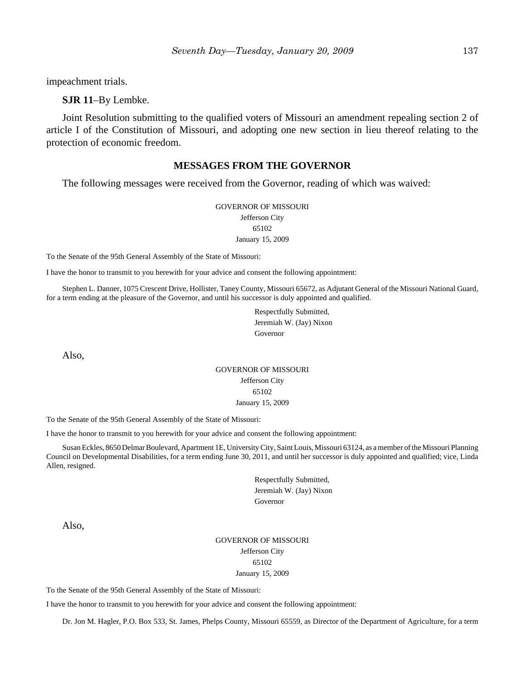impeachment trials.

**SJR 11**–By Lembke.

Joint Resolution submitting to the qualified voters of Missouri an amendment repealing section 2 of article I of the Constitution of Missouri, and adopting one new section in lieu thereof relating to the protection of economic freedom.

#### **MESSAGES FROM THE GOVERNOR**

The following messages were received from the Governor, reading of which was waived:

GOVERNOR OF MISSOURI Jefferson City 65102 January 15, 2009

To the Senate of the 95th General Assembly of the State of Missouri:

I have the honor to transmit to you herewith for your advice and consent the following appointment:

Stephen L. Danner, 1075 Crescent Drive, Hollister, Taney County, Missouri 65672, as Adjutant General of the Missouri National Guard, for a term ending at the pleasure of the Governor, and until his successor is duly appointed and qualified.

> Respectfully Submitted, Jeremiah W. (Jay) Nixon Governor

Also,

#### GOVERNOR OF MISSOURI Jefferson City 65102 January 15, 2009

To the Senate of the 95th General Assembly of the State of Missouri:

I have the honor to transmit to you herewith for your advice and consent the following appointment:

Susan Eckles, 8650 Delmar Boulevard, Apartment 1E, University City, Saint Louis, Missouri 63124, as a member of the Missouri Planning Council on Developmental Disabilities, for a term ending June 30, 2011, and until her successor is duly appointed and qualified; vice, Linda Allen, resigned.

> Respectfully Submitted, Jeremiah W. (Jay) Nixon Governor

Also,

#### GOVERNOR OF MISSOURI Jefferson City 65102 January 15, 2009

To the Senate of the 95th General Assembly of the State of Missouri:

I have the honor to transmit to you herewith for your advice and consent the following appointment:

Dr. Jon M. Hagler, P.O. Box 533, St. James, Phelps County, Missouri 65559, as Director of the Department of Agriculture, for a term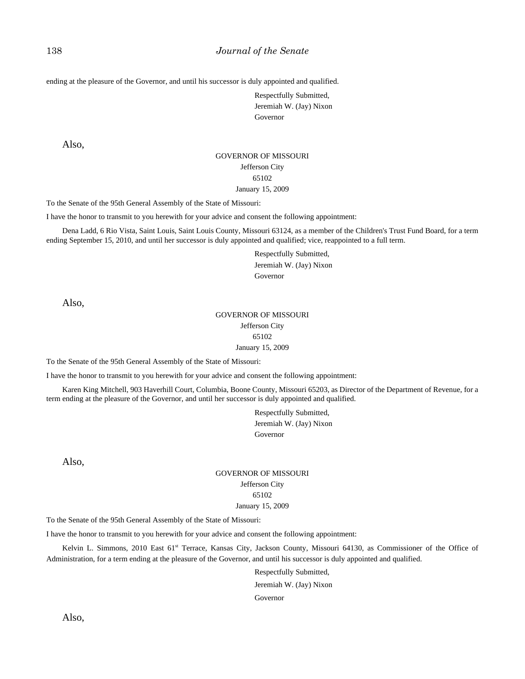ending at the pleasure of the Governor, and until his successor is duly appointed and qualified.

Respectfully Submitted, Jeremiah W. (Jay) Nixon Governor

Also,

#### GOVERNOR OF MISSOURI Jefferson City 65102 January 15, 2009

To the Senate of the 95th General Assembly of the State of Missouri:

I have the honor to transmit to you herewith for your advice and consent the following appointment:

Dena Ladd, 6 Rio Vista, Saint Louis, Saint Louis County, Missouri 63124, as a member of the Children's Trust Fund Board, for a term ending September 15, 2010, and until her successor is duly appointed and qualified; vice, reappointed to a full term.

> Respectfully Submitted, Jeremiah W. (Jay) Nixon Governor

Also,

#### GOVERNOR OF MISSOURI Jefferson City 65102 January 15, 2009

To the Senate of the 95th General Assembly of the State of Missouri:

I have the honor to transmit to you herewith for your advice and consent the following appointment:

Karen King Mitchell, 903 Haverhill Court, Columbia, Boone County, Missouri 65203, as Director of the Department of Revenue, for a term ending at the pleasure of the Governor, and until her successor is duly appointed and qualified.

> Respectfully Submitted, Jeremiah W. (Jay) Nixon Governor

Also,

#### GOVERNOR OF MISSOURI Jefferson City 65102 January 15, 2009

To the Senate of the 95th General Assembly of the State of Missouri:

I have the honor to transmit to you herewith for your advice and consent the following appointment:

Kelvin L. Simmons, 2010 East 61<sup>st</sup> Terrace, Kansas City, Jackson County, Missouri 64130, as Commissioner of the Office of Administration, for a term ending at the pleasure of the Governor, and until his successor is duly appointed and qualified.

Respectfully Submitted,

Jeremiah W. (Jay) Nixon

Governor

Also,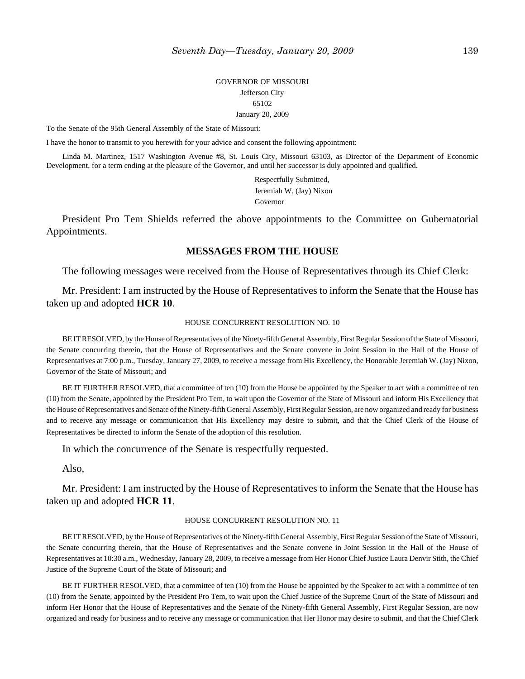#### GOVERNOR OF MISSOURI Jefferson City 65102 January 20, 2009

To the Senate of the 95th General Assembly of the State of Missouri:

I have the honor to transmit to you herewith for your advice and consent the following appointment:

Linda M. Martinez, 1517 Washington Avenue #8, St. Louis City, Missouri 63103, as Director of the Department of Economic Development, for a term ending at the pleasure of the Governor, and until her successor is duly appointed and qualified.

> Respectfully Submitted, Jeremiah W. (Jay) Nixon Governor

President Pro Tem Shields referred the above appointments to the Committee on Gubernatorial Appointments.

#### **MESSAGES FROM THE HOUSE**

The following messages were received from the House of Representatives through its Chief Clerk:

Mr. President: I am instructed by the House of Representatives to inform the Senate that the House has taken up and adopted **HCR 10**.

#### HOUSE CONCURRENT RESOLUTION NO. 10

BE IT RESOLVED, by the House of Representatives of the Ninety-fifth General Assembly, First Regular Session of the State of Missouri, the Senate concurring therein, that the House of Representatives and the Senate convene in Joint Session in the Hall of the House of Representatives at 7:00 p.m., Tuesday, January 27, 2009, to receive a message from His Excellency, the Honorable Jeremiah W. (Jay) Nixon, Governor of the State of Missouri; and

BE IT FURTHER RESOLVED, that a committee of ten (10) from the House be appointed by the Speaker to act with a committee of ten (10) from the Senate, appointed by the President Pro Tem, to wait upon the Governor of the State of Missouri and inform His Excellency that the House of Representatives and Senate of the Ninety-fifth General Assembly, First Regular Session, are now organized and ready for business and to receive any message or communication that His Excellency may desire to submit, and that the Chief Clerk of the House of Representatives be directed to inform the Senate of the adoption of this resolution.

In which the concurrence of the Senate is respectfully requested.

Also,

Mr. President: I am instructed by the House of Representatives to inform the Senate that the House has taken up and adopted **HCR 11**.

#### HOUSE CONCURRENT RESOLUTION NO. 11

BE IT RESOLVED, by the House of Representatives of the Ninety-fifth General Assembly, First Regular Session of the State of Missouri, the Senate concurring therein, that the House of Representatives and the Senate convene in Joint Session in the Hall of the House of Representatives at 10:30 a.m., Wednesday, January 28, 2009, to receive a message from Her Honor Chief Justice Laura Denvir Stith, the Chief Justice of the Supreme Court of the State of Missouri; and

BE IT FURTHER RESOLVED, that a committee of ten (10) from the House be appointed by the Speaker to act with a committee of ten (10) from the Senate, appointed by the President Pro Tem, to wait upon the Chief Justice of the Supreme Court of the State of Missouri and inform Her Honor that the House of Representatives and the Senate of the Ninety-fifth General Assembly, First Regular Session, are now organized and ready for business and to receive any message or communication that Her Honor may desire to submit, and that the Chief Clerk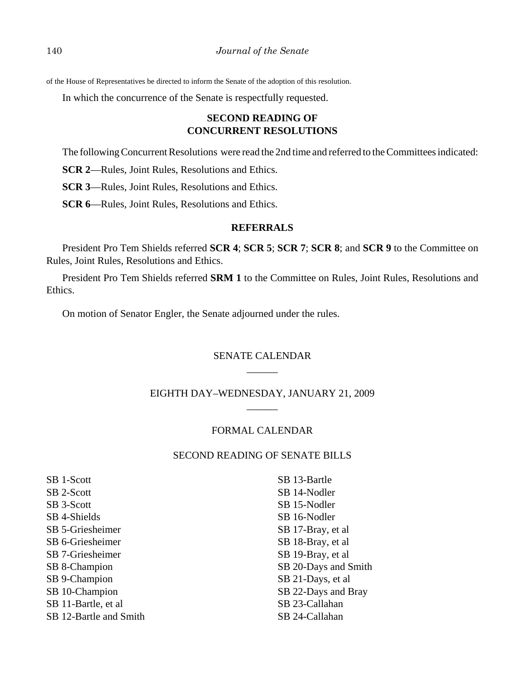of the House of Representatives be directed to inform the Senate of the adoption of this resolution.

In which the concurrence of the Senate is respectfully requested.

# **SECOND READING OF CONCURRENT RESOLUTIONS**

The following Concurrent Resolutions were read the 2nd time and referred to the Committees indicated:

**SCR 2**—Rules, Joint Rules, Resolutions and Ethics.

**SCR 3**—Rules, Joint Rules, Resolutions and Ethics.

**SCR 6**—Rules, Joint Rules, Resolutions and Ethics.

# **REFERRALS**

President Pro Tem Shields referred **SCR 4**; **SCR 5**; **SCR 7**; **SCR 8**; and **SCR 9** to the Committee on Rules, Joint Rules, Resolutions and Ethics.

President Pro Tem Shields referred **SRM 1** to the Committee on Rules, Joint Rules, Resolutions and Ethics.

On motion of Senator Engler, the Senate adjourned under the rules.

# SENATE CALENDAR  $\overline{\phantom{a}}$

# EIGHTH DAY–WEDNESDAY, JANUARY 21, 2009  $\overline{\phantom{a}}$

#### FORMAL CALENDAR

## SECOND READING OF SENATE BILLS

SB 1-Scott SB 2-Scott SB 3-Scott SB 4-Shields SB 5-Griesheimer SB 6-Griesheimer SB 7-Griesheimer SB 8-Champion SB 9-Champion SB 10-Champion SB 11-Bartle, et al SB 12-Bartle and Smith

SB 13-Bartle SB 14-Nodler SB 15-Nodler SB 16-Nodler SB 17-Bray, et al SB 18-Bray, et al SB 19-Bray, et al SB 20-Days and Smith SB 21-Days, et al SB 22-Days and Bray SB 23-Callahan SB 24-Callahan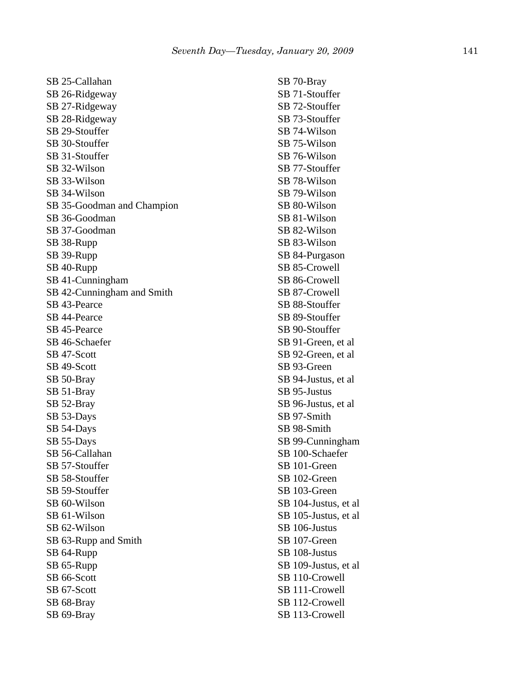SB 25-Callahan SB 26-Ridgeway SB 27-Ridgeway SB 28-Ridgeway SB 29-Stouffer SB 30-Stouffer SB 31-Stouffer SB 32-Wilson SB 33-Wilson SB 34-Wilson SB 35-Goodman and Champion SB 36-Goodman SB 37-Goodman SB 38-Rupp SB 39-Rupp SB 40-Rupp SB 41-Cunningham SB 42-Cunningham and Smith SB 43-Pearce SB 44-Pearce SB 45-Pearce SB 46-Schaefer SB 47-Scott SB 49-Scott SB 50-Bray SB 51-Bray SB 52-Bray SB 53-Days SB 54-Days SB 55-Days SB 56-Callahan SB 57-Stouffer SB 58-Stouffer SB 59-Stouffer SB 60-Wilson SB 61-Wilson SB 62-Wilson SB 63-Rupp and Smith SB 64-Rupp SB 65-Rupp SB 66-Scott SB 67-Scott SB 68-Bray SB 69-Bray

SB 70-Bray SB 71-Stouffer SB 72-Stouffer SB 73-Stouffer SB 74-Wilson SB 75-Wilson SB 76-Wilson SB 77-Stouffer SB 78-Wilson SB 79-Wilson SB 80-Wilson SB 81-Wilson SB 82-Wilson SB 83-Wilson SB 84-Purgason SB 85-Crowell SB 86-Crowell SB 87-Crowell SB 88-Stouffer SB 89-Stouffer SB 90-Stouffer SB 91-Green, et al SB 92-Green, et al SB 93-Green SB 94-Justus, et al SB 95-Justus SB 96-Justus, et al SB 97-Smith SB 98-Smith SB 99-Cunningham SB 100-Schaefer SB 101-Green SB 102-Green SB 103-Green SB 104-Justus, et al SB 105-Justus, et al SB 106-Justus SB 107-Green SB 108-Justus SB 109-Justus, et al SB 110-Crowell SB 111-Crowell SB 112-Crowell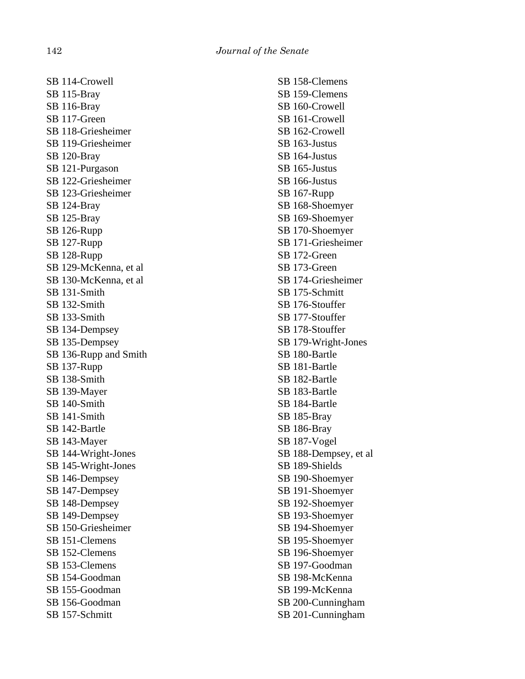SB 114-Crowell SB 115-Bray SB 116-Bray SB 117-Green SB 118-Griesheimer SB 119-Griesheimer SB 120-Bray SB 121-Purgason SB 122-Griesheimer SB 123-Griesheimer SB 124-Bray SB 125-Bray SB 126-Rupp SB 127-Rupp SB 128-Rupp SB 129-McKenna, et al SB 130-McKenna, et al SB 131-Smith SB 132-Smith SB 133-Smith SB 134-Dempsey SB 135-Dempsey SB 136-Rupp and Smith SB 137-Rupp SB 138-Smith SB 139-Mayer SB 140-Smith SB 141-Smith SB 142-Bartle SB 143-Mayer SB 144-Wright-Jones SB 145-Wright-Jones SB 146-Dempsey SB 147-Dempsey SB 148-Dempsey SB 149-Dempsey SB 150-Griesheimer SB 151-Clemens SB 152-Clemens SB 153-Clemens SB 154-Goodman SB 155-Goodman SB 156-Goodman SB 157-Schmitt

SB 158-Clemens SB 159-Clemens SB 160-Crowell SB 161-Crowell SB 162-Crowell SB 163-Justus SB 164-Justus SB 165-Justus SB 166-Justus SB 167-Rupp SB 168-Shoemyer SB 169-Shoemyer SB 170-Shoemyer SB 171-Griesheimer SB 172-Green SB 173-Green SB 174-Griesheimer SB 175-Schmitt SB 176-Stouffer SB 177-Stouffer SB 178-Stouffer SB 179-Wright-Jones SB 180-Bartle SB 181-Bartle SB 182-Bartle SB 183-Bartle SB 184-Bartle SB 185-Bray SB 186-Bray SB 187-Vogel SB 188-Dempsey, et al SB 189-Shields SB 190-Shoemyer SB 191-Shoemyer SB 192-Shoemyer SB 193-Shoemyer SB 194-Shoemyer SB 195-Shoemyer SB 196-Shoemyer SB 197-Goodman SB 198-McKenna SB 199-McKenna SB 200-Cunningham SB 201-Cunningham